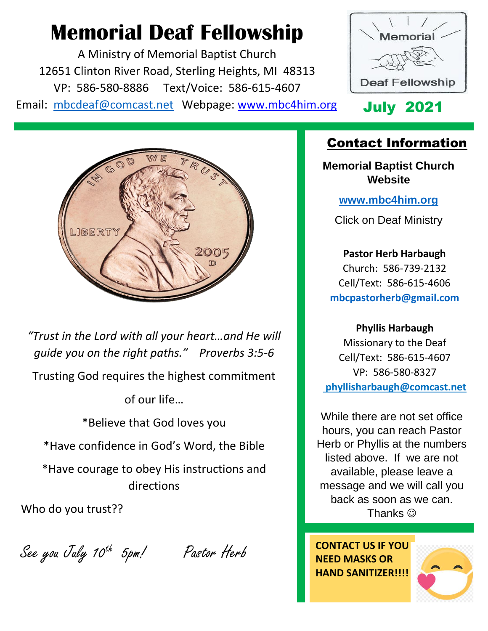# **Memorial Deaf Fellowship**

A Ministry of Memorial Baptist Church 12651 Clinton River Road, Sterling Heights, MI 48313 VP: 586-580-8886 Text/Voice: 586-615-4607 Email: [mbcdeaf@comcast.net](mailto:mbcdeaf@comcast.net) Webpage: www.mbc4him.org July 2021



### Contact Information

**Memorial Baptist Church Website**

**[www.mbc4him.org](http://www.mbc4him.org/)**

Click on Deaf Ministry

**Pastor Herb Harbaugh** Church: 586-739-2132 Cell/Text: 586-615-4606 **[mbcpastorherb@gmail.com](mailto:mbcpastorherb@gmail.com)**

**Phyllis Harbaugh**

Missionary to the Deaf Cell/Text: 586-615-4607 VP: 586-580-8327 **phyllisharbaugh@comcast.net** 

While there are not set office hours, you can reach Pastor Herb or Phyllis at the numbers listed above. If we are not available, please leave a message and we will call you back as soon as we can. Thanks  $\odot$ 

**CONTACT US IF YOU NEED MASKS OR HAND SANITIZER!!!!**





*"Trust in the Lord with all your heart…and He will guide you on the right paths." Proverbs 3:5-6* Trusting God requires the highest commitment of our life… \*Believe that God loves you \*Have confidence in God's Word, the Bible

\*Have courage to obey His instructions and directions

Who do you trust??

See you July 10th 5pm! Pastor Herb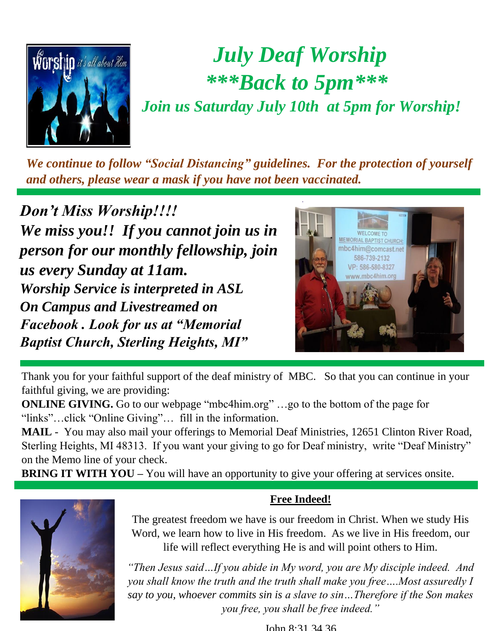

# *July Deaf Worship \*\*\*Back to 5pm\*\*\* Join us Saturday July 10th at 5pm for Worship!*

*We continue to follow "Social Distancing" guidelines. For the protection of yourself and others, please wear a mask if you have not been vaccinated.* 

*Don't Miss Worship!!!! We miss you!! If you cannot join us in person for our monthly fellowship, join us every Sunday at 11am. Worship Service is interpreted in ASL On Campus and Livestreamed on Facebook . Look for us at "Memorial Baptist Church, Sterling Heights, MI"*



Thank you for your faithful support of the deaf ministry of MBC. So that you can continue in your faithful giving, we are providing:

**ONLINE GIVING.** Go to our webpage "mbc4him.org" ...go to the bottom of the page for "links"…click "Online Giving"… fill in the information.

**MAIL** - You may also mail your offerings to Memorial Deaf Ministries, 12651 Clinton River Road, Sterling Heights, MI 48313. If you want your giving to go for Deaf ministry, write "Deaf Ministry" on the Memo line of your check.

**BRING IT WITH YOU** – You will have an opportunity to give your offering at services onsite.



#### **Free Indeed!**

The greatest freedom we have is our freedom in Christ. When we study His Word, we learn how to live in His freedom. As we live in His freedom, our life will reflect everything He is and will point others to Him.

*"Then Jesus said…If you abide in My word, you are My disciple indeed. And you shall know the truth and the truth shall make you free….Most assuredly I say to you, whoever commits sin is a slave to sin…Therefore if the Son makes you free, you shall be free indeed."*

John 8:31,34,36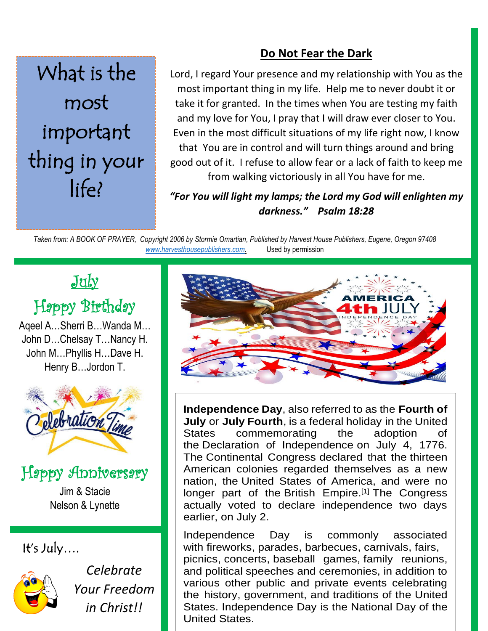### **Do Not Fear the Dark**

# What is the most important thing in your life?

Lord, I regard Your presence and my relationship with You as the most important thing in my life. Help me to never doubt it or take it for granted. In the times when You are testing my faith and my love for You, I pray that I will draw ever closer to You. Even in the most difficult situations of my life right now, I know that You are in control and will turn things around and bring good out of it. I refuse to allow fear or a lack of faith to keep me from walking victoriously in all You have for me.

*"For You will light my lamps; the Lord my God will enlighten my darkness." Psalm 18:28*

*Taken from: A BOOK OF PRAYER, Copyright 2006 by Stormie Omartian, Published by Harvest House Publishers, Eugene, Oregon 97408 [www.harvesthousepublishers.com.](http://www.harvesthousepublishers.com/)* Used by permission

### July

## Happy Birthday

Aqeel A…Sherri B…Wanda M… John D…Chelsay T…Nancy H. John M…Phyllis H…Dave H. Henry B…Jordon T.



### Happy Anniversary

Jim & Stacie Nelson & Lynette

### It's July….



*Celebrate Your Freedom in Christ!!*



**Independence Day**, also referred to as the **Fourth of July** or **July Fourth**, is a federal holiday in the United States commemorating the adoption of the Declaration of Independence on July 4, 1776. The Continental Congress declared that the thirteen American colonies regarded themselves as a new nation, the United States of America, and were no longer part of the British Empire.<sup>[1]</sup> The Congress actually voted to declare independence two days earlier, on July 2.

Independence Day is commonly associated with fireworks, parades, barbecues, carnivals, fairs, picnics, concerts, baseball games, family reunions, and political speeches and ceremonies, in addition to various other public and private events celebrating the history, government, and traditions of the United States. Independence Day is the National Day of the United States.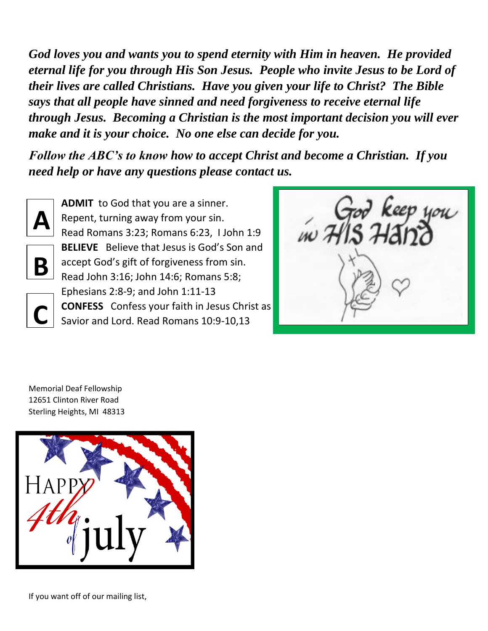*God loves you and wants you to spend eternity with Him in heaven. He provided eternal life for you through His Son Jesus. People who invite Jesus to be Lord of their lives are called Christians. Have you given your life to Christ? The Bible says that all people have sinned and need forgiveness to receive eternal life through Jesus. Becoming a Christian is the most important decision you will ever make and it is your choice. No one else can decide for you.* 

*Follow the ABC's to know how to accept Christ and become a Christian. If you need help or have any questions please contact us.* 



**B**

**C**

**ADMIT** to God that you are a sinner. Repent, turning away from your sin. Read Romans 3:23; Romans 6:23, I John 1:9 **BELIEVE** Believe that Jesus is God's Son and accept God's gift of forgiveness from sin. Read John 3:16; John 14:6; Romans 5:8; Ephesians 2:8-9; and John 1:11-13 **CONFESS** Confess your faith in Jesus Christ as Savior and Lord. Read Romans 10:9-10,13

кеер цоц

Memorial Deaf Fellowship 12651 Clinton River Road Sterling Heights, MI 48313